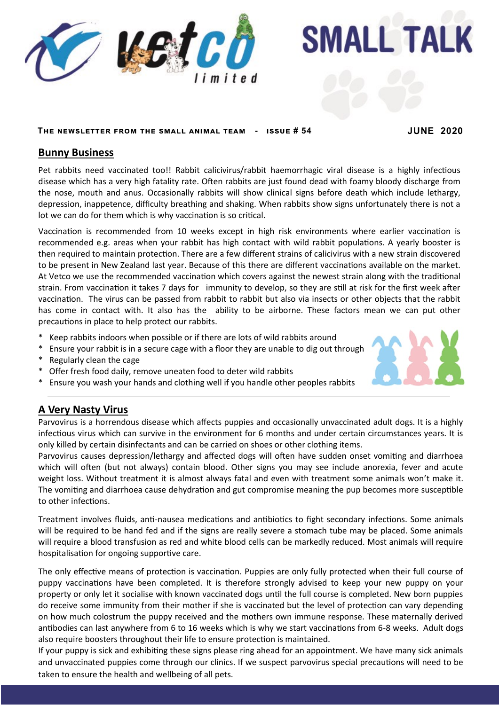

**SMALL TALK** 

### **The newsletter from the small animal team - issue # 54 JUNE 2020**

## **Bunny Business**

Pet rabbits need vaccinated too!! Rabbit calicivirus/rabbit haemorrhagic viral disease is a highly infectious disease which has a very high fatality rate. Often rabbits are just found dead with foamy bloody discharge from the nose, mouth and anus. Occasionally rabbits will show clinical signs before death which include lethargy, depression, inappetence, difficulty breathing and shaking. When rabbits show signs unfortunately there is not a lot we can do for them which is why vaccination is so critical.

strain. From vaccination it takes 7 days for immunity to develop, so they are still at risk for the first week after vaccination. The virus can be passed from rabbit to rabbit but also via insects or other objects that the rabbit Vaccination is recommended from 10 weeks except in high risk environments where earlier vaccination is recommended e.g. areas when your rabbit has high contact with wild rabbit populations. A yearly booster is then required to maintain protection. There are a few different strains of calicivirus with a new strain discovered to be present in New Zealand last year. Because of this there are different vaccinations available on the market. At Vetco we use the recommended vaccination which covers against the newest strain along with the traditional has come in contact with. It also has the ability to be airborne. These factors mean we can put other precautions in place to help protect our rabbits.

- \* Keep rabbits indoors when possible or if there are lots of wild rabbits around
- \* Ensure your rabbit is in a secure cage with a floor they are unable to dig out through
- \* Regularly clean the cage
- \* Offer fresh food daily, remove uneaten food to deter wild rabbits
- \* Ensure you wash your hands and clothing well if you handle other peoples rabbits

# **A Very Nasty Virus**

Parvovirus is a horrendous disease which affects puppies and occasionally unvaccinated adult dogs. It is a highly infectious virus which can survive in the environment for 6 months and under certain circumstances years. It is only killed by certain disinfectants and can be carried on shoes or other clothing items.

Parvovirus causes depression/lethargy and affected dogs will often have sudden onset vomiting and diarrhoea which will often (but not always) contain blood. Other signs you may see include anorexia, fever and acute weight loss. Without treatment it is almost always fatal and even with treatment some animals won't make it. The vomiting and diarrhoea cause dehydration and gut compromise meaning the pup becomes more susceptible to other infections.

Treatment involves fluids, anti-nausea medications and antibiotics to fight secondary infections. Some animals will be required to be hand fed and if the signs are really severe a stomach tube may be placed. Some animals will require a blood transfusion as red and white blood cells can be markedly reduced. Most animals will require hospitalisation for ongoing supportive care.

The only effective means of protection is vaccination. Puppies are only fully protected when their full course of puppy vaccinations have been completed. It is therefore strongly advised to keep your new puppy on your property or only let it socialise with known vaccinated dogs until the full course is completed. New born puppies do receive some immunity from their mother if she is vaccinated but the level of protection can vary depending on how much colostrum the puppy received and the mothers own immune response. These maternally derived antibodies can last anywhere from 6 to 16 weeks which is why we start vaccinations from 6-8 weeks. Adult dogs also require boosters throughout their life to ensure protection is maintained.

If your puppy is sick and exhibiting these signs please ring ahead for an appointment. We have many sick animals and unvaccinated puppies come through our clinics. If we suspect parvovirus special precautions will need to be taken to ensure the health and wellbeing of all pets.